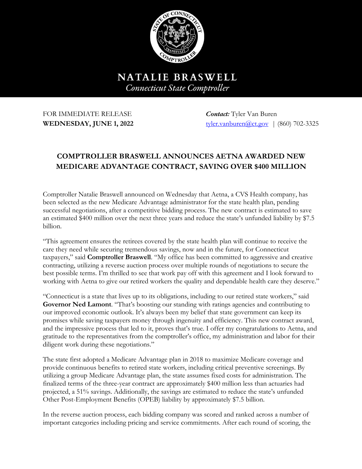

NATALIE BRASWELL **Connecticut State Comptroller** 

FOR IMMEDIATE RELEASE *Contact:* Tyler Van Buren

**WEDNESDAY, JUNE 1, 2022** tyler.vanburen@ct.gov | (860) 702-3325

## **COMPTROLLER BRASWELL ANNOUNCES AETNA AWARDED NEW MEDICARE ADVANTAGE CONTRACT, SAVING OVER \$400 MILLION**

Comptroller Natalie Braswell announced on Wednesday that Aetna, a CVS Health company, has been selected as the new Medicare Advantage administrator for the state health plan, pending successful negotiations, after a competitive bidding process. The new contract is estimated to save an estimated \$400 million over the next three years and reduce the state's unfunded liability by \$7.5 billion.

"This agreement ensures the retirees covered by the state health plan will continue to receive the care they need while securing tremendous savings, now and in the future, for Connecticut taxpayers," said **Comptroller Braswell**. "My office has been committed to aggressive and creative contracting, utilizing a reverse auction process over multiple rounds of negotiations to secure the best possible terms. I'm thrilled to see that work pay off with this agreement and I look forward to working with Aetna to give our retired workers the quality and dependable health care they deserve."

"Connecticut is a state that lives up to its obligations, including to our retired state workers," said **Governor Ned Lamont**. "That's boosting our standing with ratings agencies and contributing to our improved economic outlook. It's always been my belief that state government can keep its promises while saving taxpayers money through ingenuity and efficiency. This new contract award, and the impressive process that led to it, proves that's true. I offer my congratulations to Aetna, and gratitude to the representatives from the comptroller's office, my administration and labor for their diligent work during these negotiations."

The state first adopted a Medicare Advantage plan in 2018 to maximize Medicare coverage and provide continuous benefits to retired state workers, including critical preventive screenings. By utilizing a group Medicare Advantage plan, the state assumes fixed costs for administration. The finalized terms of the three-year contract are approximately \$400 million less than actuaries had projected, a 51% savings. Additionally, the savings are estimated to reduce the state's unfunded Other Post-Employment Benefits (OPEB) liability by approximately \$7.5 billion.

In the reverse auction process, each bidding company was scored and ranked across a number of important categories including pricing and service commitments. After each round of scoring, the